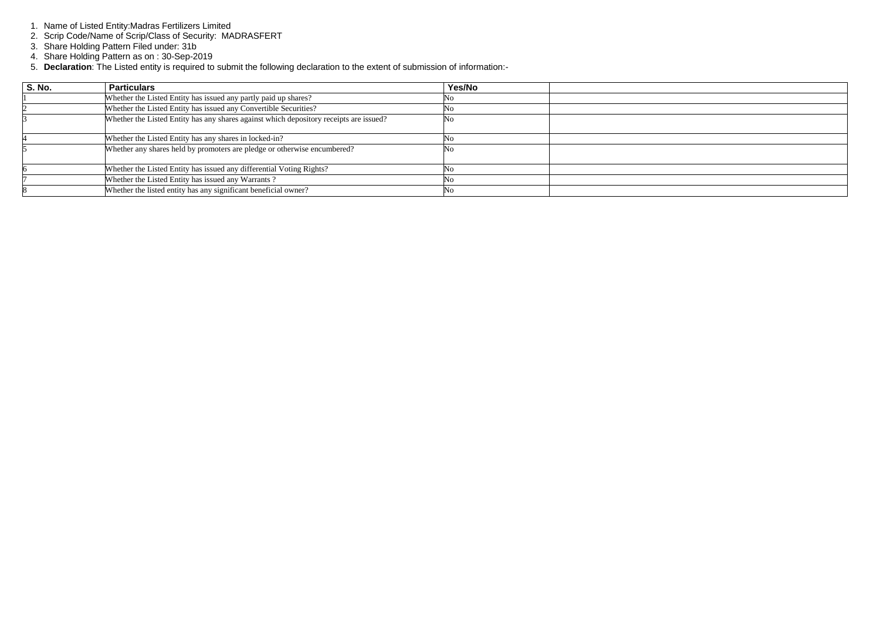- 1. Name of Listed Entity:Madras Fertilizers Limited
- 2. Scrip Code/Name of Scrip/Class of Security: MADRASFERT
- 3. Share Holding Pattern Filed under: 31b
- 4. Share Holding Pattern as on : 30-Sep-2019
- 5. **Declaration**: The Listed entity is required to submit the following declaration to the extent of submission of information:-

| <b>S. No.</b> | <b>Particulars</b>                                                                     | Yes/No |  |
|---------------|----------------------------------------------------------------------------------------|--------|--|
|               | Whether the Listed Entity has issued any partly paid up shares?                        | No     |  |
|               | Whether the Listed Entity has issued any Convertible Securities?                       | Nο     |  |
|               | Whether the Listed Entity has any shares against which depository receipts are issued? | No     |  |
|               | Whether the Listed Entity has any shares in locked-in?                                 | No     |  |
|               | Whether any shares held by promoters are pledge or otherwise encumbered?               | Nο     |  |
|               | Whether the Listed Entity has issued any differential Voting Rights?                   | Nο     |  |
|               | Whether the Listed Entity has issued any Warrants?                                     | No     |  |
|               | Whether the listed entity has any significant beneficial owner?                        | Nο     |  |

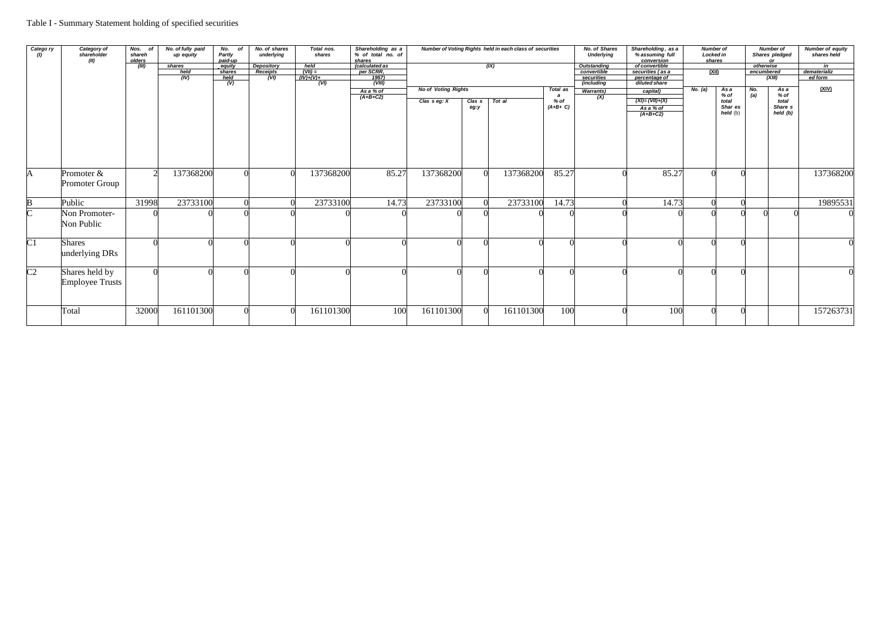| Catego ry<br>(1) | Category of<br>shareholder<br>(II)       | Nos. of<br>shareh<br>olders | No. of fully paid<br>up equity | No.<br>of<br>Partly<br>paid-up | No. of shares<br>underlying | Total nos.<br>shares | Shareholding as a<br>% of total no. of |                            |                   | Number of Voting Rights held in each class of securities |                              | <b>No. of Shares</b><br><b>Underlying</b> | Shareholding, as a<br><b>Number of</b><br>% assuming full<br>Locked in<br>shares |                         |            | <b>Number of</b><br>Shares pledged<br>or | <b>Number of equity</b><br>shares held |
|------------------|------------------------------------------|-----------------------------|--------------------------------|--------------------------------|-----------------------------|----------------------|----------------------------------------|----------------------------|-------------------|----------------------------------------------------------|------------------------------|-------------------------------------------|----------------------------------------------------------------------------------|-------------------------|------------|------------------------------------------|----------------------------------------|
|                  |                                          | (III)                       | shares                         | equity                         | Depository                  | $held$<br>(VII) =    | shares<br>(calculated as               |                            |                   | (X)                                                      |                              | <b>Outstanding</b>                        | conversion<br>of convertible                                                     |                         | otherwise  |                                          | in                                     |
|                  |                                          |                             | held                           | shares                         | Receipts                    |                      | per SCRR,                              |                            |                   |                                                          |                              | convertible                               | securities (as a                                                                 | <u>(XII)</u>            |            | encumbered                               | dematerializ                           |
|                  |                                          |                             | (IV)                           | $rac{held}{(V)}$               | (VI)                        | $(\dot{IV})+(V)+$    | $\frac{1957}{\text{(VIII)}}$           |                            |                   |                                                          |                              | securities<br>(including                  | percentage of                                                                    |                         |            | (XIII)                                   | ed form                                |
|                  |                                          |                             |                                |                                |                             | $\sqrt{(V/I)}$       |                                        |                            |                   |                                                          |                              |                                           | diluted share                                                                    |                         |            |                                          |                                        |
|                  |                                          |                             |                                |                                |                             |                      | $\frac{As a % of}{(A+B+C2)}$           | <b>No of Voting Rights</b> |                   |                                                          | Total as<br>$\boldsymbol{a}$ | <b>Warrants)</b>                          | capital)                                                                         | No. (a)<br>As a<br>% of | No.<br>(a) | As a<br>% of                             | (XIV)                                  |
|                  |                                          |                             |                                |                                |                             |                      |                                        | Clas $s$ eg: $X$           | Clas <sub>s</sub> | Tot al                                                   | % of                         | $\overline{(\mathsf{X})}$                 | $(XI) = (VII)+(X)$                                                               | total                   |            | total                                    |                                        |
|                  |                                          |                             |                                |                                |                             |                      |                                        |                            | eg:y              |                                                          | $(A+B+C)$                    |                                           | As a % of                                                                        | Shar es                 |            | Share s                                  |                                        |
|                  |                                          |                             |                                |                                |                             |                      |                                        |                            |                   |                                                          |                              |                                           | $(A+B+C2)$                                                                       | held (b)                |            | held (b)                                 |                                        |
|                  |                                          |                             |                                |                                |                             |                      |                                        |                            |                   |                                                          |                              |                                           |                                                                                  |                         |            |                                          |                                        |
| A                | Promoter &<br>Promoter Group             |                             | 137368200                      |                                |                             | 137368200            | 85.27                                  | 137368200                  | $\left($          | 137368200                                                | 85.27                        |                                           | 85.27                                                                            |                         |            |                                          | 137368200                              |
| $\bf{B}$         | Public                                   | 31998                       | 23733100                       |                                |                             | 23733100             | 14.73                                  | 23733100                   |                   | 23733100                                                 | 14.73                        |                                           | 14.73                                                                            |                         |            |                                          | 19895531                               |
| $\overline{C}$   | Non Promoter-<br>Non Public              |                             |                                |                                |                             |                      |                                        |                            |                   |                                                          |                              |                                           |                                                                                  |                         |            |                                          |                                        |
| C1               | <b>Shares</b><br>underlying DRs          |                             |                                |                                |                             |                      |                                        |                            |                   |                                                          |                              |                                           |                                                                                  |                         |            |                                          |                                        |
| $\overline{C2}$  | Shares held by<br><b>Employee Trusts</b> |                             |                                |                                |                             |                      |                                        |                            |                   |                                                          |                              |                                           |                                                                                  |                         |            |                                          |                                        |
|                  | Total                                    | 32000                       | 161101300                      |                                |                             | 161101300            | 100                                    | 161101300                  | $\Omega$          | 161101300                                                | 100                          |                                           | 100                                                                              |                         |            |                                          | 157263731                              |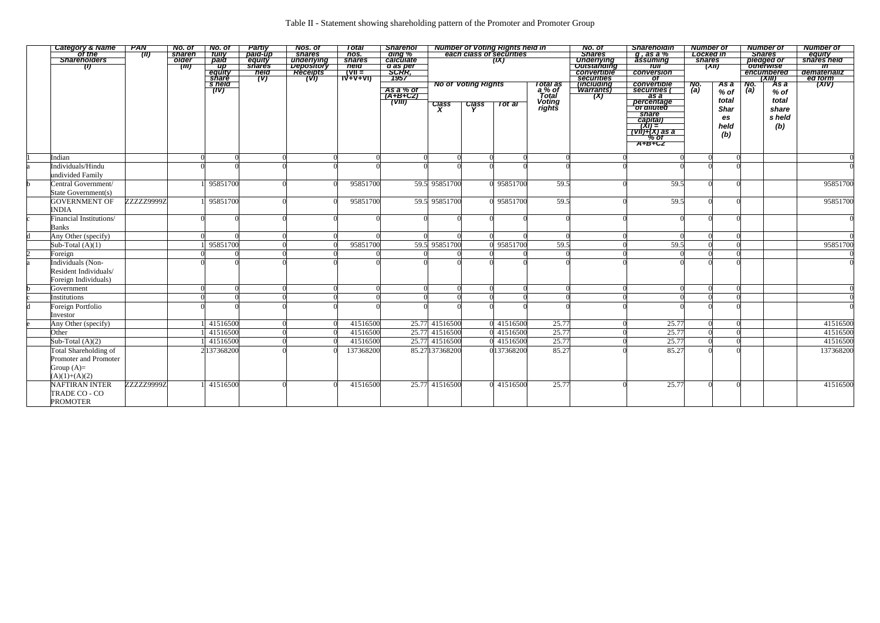| Category & Name<br>of the<br>Shareholders | <b>PAN</b> | No. of                      | No. of               | <b>Partly</b>    | <b>Nos. of</b>           | Total            | <b>Sharehol</b>                    |                 |                            | Number of Voting Rights held in<br>each class of securities |                             | No. of                                | <b>Shareholdin</b>                                            | <b>Number of</b> |                               | <b>Number of</b>                                                                  | <b>Number of</b>                                       |
|-------------------------------------------|------------|-----------------------------|----------------------|------------------|--------------------------|------------------|------------------------------------|-----------------|----------------------------|-------------------------------------------------------------|-----------------------------|---------------------------------------|---------------------------------------------------------------|------------------|-------------------------------|-----------------------------------------------------------------------------------|--------------------------------------------------------|
|                                           | (II)       | shareh<br><b>older</b>      | <b>Tully</b><br>paid | paid-up          | <b>shares</b>            | nos.             | ding %<br>calculate                |                 |                            | (IX)                                                        |                             | <b>Shares</b>                         | $g$ , as a $\%$<br>assuming                                   | <b>shares</b>    | <b>Locked in</b>              | <b>Shares</b>                                                                     | equity<br>shares held                                  |
| $\langle 0 \rangle$                       |            | $\overline{(\overline{m})}$ | $\overline{up}$      | equity<br>shares | underlying<br>Depository | shares<br>held   | d as per                           |                 |                            |                                                             |                             | Underlying<br>Outstanding             | tull                                                          |                  | $\overline{(\overline{XII})}$ | pledged or                                                                        | $\overline{\mathsf{m}}$                                |
|                                           |            |                             | equity<br>share      | neid<br>(V)      | Réceipts<br>(VI)         | $\overline{V} =$ | <u>SCRR,</u><br>1957               |                 |                            |                                                             |                             | convertible                           | conversion                                                    |                  |                               | encumbered                                                                        | dematerializ                                           |
|                                           |            |                             | s held               |                  |                          | <u>TV+V+VI)</u>  |                                    |                 | <b>No of Voting Rights</b> |                                                             |                             | <b>Securities</b><br><i>including</i> | $\overline{of}$                                               |                  |                               | $\overline{(\overline{X} \overline{I} \overline{I})}$<br><del>``As a</del><br>No. | ed form<br>$\overline{(\overline{X}$ i $\overline{V})$ |
|                                           |            |                             | (IV)                 |                  |                          |                  |                                    |                 |                            |                                                             | Total as<br>a % of<br>Total | <b>Warrants</b> )                     | convertible<br>  securities                                   | No.<br>(a)       | As a<br>$%$ of                | $\overline{a}$<br>$%$ of                                                          |                                                        |
|                                           |            |                             |                      |                  |                          |                  | As a % of<br>(A+B+C2)              |                 |                            |                                                             |                             | (X)                                   | as a                                                          |                  |                               |                                                                                   |                                                        |
|                                           |            |                             |                      |                  |                          |                  | $\overline{(\nabla \overline{u})}$ | Class<br>X      | Class<br>Y                 | Tot al                                                      | Voting<br>rights            |                                       | percentage<br>of diluted                                      |                  | total                         | total                                                                             |                                                        |
|                                           |            |                             |                      |                  |                          |                  |                                    |                 |                            |                                                             |                             |                                       | share                                                         |                  | <b>Shar</b>                   | share                                                                             |                                                        |
|                                           |            |                             |                      |                  |                          |                  |                                    |                 |                            |                                                             |                             |                                       | capital)                                                      |                  | es                            | s held                                                                            |                                                        |
|                                           |            |                             |                      |                  |                          |                  |                                    |                 |                            |                                                             |                             |                                       | $\overrightarrow{XY} = \overrightarrow{XY}$<br>(VII)+(X) as a |                  | held                          | (b)                                                                               |                                                        |
|                                           |            |                             |                      |                  |                          |                  |                                    |                 |                            |                                                             |                             |                                       |                                                               |                  | (b)                           |                                                                                   |                                                        |
|                                           |            |                             |                      |                  |                          |                  |                                    |                 |                            |                                                             |                             |                                       | $7.777$<br>$7.07$<br>$7.07$                                   |                  |                               |                                                                                   |                                                        |
| Indian                                    |            |                             |                      |                  |                          |                  |                                    |                 |                            |                                                             |                             |                                       |                                                               |                  |                               |                                                                                   |                                                        |
| Individuals/Hindu                         |            |                             |                      |                  |                          |                  |                                    |                 |                            |                                                             |                             |                                       |                                                               |                  |                               |                                                                                   |                                                        |
| undivided Family                          |            |                             |                      |                  |                          |                  |                                    |                 |                            |                                                             |                             |                                       |                                                               |                  |                               |                                                                                   |                                                        |
| Central Government/                       |            |                             | 95851700             |                  |                          | 95851700         |                                    | 59.5 95851700   |                            | 95851700                                                    | 59.5                        |                                       | 59.5                                                          |                  |                               |                                                                                   | 95851700                                               |
| State Government(s)                       |            |                             |                      |                  |                          |                  |                                    |                 |                            |                                                             |                             |                                       |                                                               |                  |                               |                                                                                   |                                                        |
| <b>GOVERNMENT OF</b>                      | ZZZZZ9999Z |                             | 95851700             |                  |                          | 95851700         |                                    | 59.5 95851700   |                            | 95851700                                                    | 59.5                        |                                       | 59.5                                                          |                  |                               |                                                                                   | 95851700                                               |
| <b>INDIA</b>                              |            |                             |                      |                  |                          |                  |                                    |                 |                            |                                                             |                             |                                       |                                                               |                  |                               |                                                                                   |                                                        |
| Financial Institutions/                   |            |                             |                      |                  |                          |                  |                                    |                 |                            |                                                             |                             |                                       |                                                               |                  |                               |                                                                                   |                                                        |
| <b>Banks</b>                              |            |                             |                      |                  |                          |                  |                                    |                 |                            |                                                             |                             |                                       |                                                               |                  |                               |                                                                                   |                                                        |
| Any Other (specify)                       |            |                             |                      |                  |                          |                  |                                    |                 |                            |                                                             |                             |                                       |                                                               |                  |                               |                                                                                   |                                                        |
| $\overline{\text{Sub-Total}(A)(1)}$       |            |                             | 95851700             |                  |                          | 95851700         |                                    | 59.5 95851700   |                            | 95851700                                                    | $\overline{59.5}$           |                                       | 59.5                                                          |                  |                               |                                                                                   | 95851700                                               |
| Foreign                                   |            |                             |                      |                  |                          |                  |                                    |                 |                            |                                                             |                             |                                       |                                                               |                  |                               |                                                                                   |                                                        |
| Individuals (Non-                         |            |                             |                      |                  |                          |                  |                                    |                 |                            |                                                             |                             |                                       |                                                               |                  |                               |                                                                                   |                                                        |
| Resident Individuals/                     |            |                             |                      |                  |                          |                  |                                    |                 |                            |                                                             |                             |                                       |                                                               |                  |                               |                                                                                   |                                                        |
| Foreign Individuals)                      |            |                             |                      |                  |                          |                  |                                    |                 |                            |                                                             |                             |                                       |                                                               |                  |                               |                                                                                   |                                                        |
| Government                                |            |                             |                      |                  |                          |                  |                                    |                 |                            |                                                             |                             |                                       |                                                               |                  |                               |                                                                                   |                                                        |
| Institutions                              |            |                             |                      |                  |                          |                  |                                    |                 |                            |                                                             |                             |                                       |                                                               |                  |                               |                                                                                   |                                                        |
| Foreign Portfolio                         |            |                             |                      |                  |                          |                  |                                    |                 |                            |                                                             |                             |                                       |                                                               |                  |                               |                                                                                   |                                                        |
| Investor                                  |            |                             |                      |                  |                          |                  |                                    |                 |                            |                                                             |                             |                                       |                                                               |                  |                               |                                                                                   |                                                        |
| Any Other (specify)                       |            |                             | 41516500             |                  |                          | 41516500         |                                    | 25.77 41516500  |                            | 41516500                                                    | 25.77                       |                                       | 25.77                                                         |                  |                               |                                                                                   | 41516500                                               |
| Other                                     |            |                             | 41516500             |                  |                          | 41516500         |                                    | 25.77 41516500  |                            | 41516500                                                    | 25.77                       |                                       | 25.77                                                         |                  |                               |                                                                                   | 41516500                                               |
| Sub-Total $(A)(2)$                        |            |                             | 41516500             |                  |                          | 41516500         |                                    | 25.77 41516500  |                            | 41516500                                                    | 25.77                       |                                       | 25.77                                                         |                  |                               |                                                                                   | 41516500                                               |
| Total Shareholding of                     |            |                             | 2137368200           |                  |                          | 137368200        |                                    | 85.27 137368200 |                            | 0137368200                                                  | 85.27                       |                                       | 85.27                                                         |                  |                               |                                                                                   | 137368200                                              |
| Promoter and Promoter                     |            |                             |                      |                  |                          |                  |                                    |                 |                            |                                                             |                             |                                       |                                                               |                  |                               |                                                                                   |                                                        |
| Group $(A)=$                              |            |                             |                      |                  |                          |                  |                                    |                 |                            |                                                             |                             |                                       |                                                               |                  |                               |                                                                                   |                                                        |
| $(A)(1)+(A)(2)$                           |            |                             |                      |                  |                          |                  |                                    |                 |                            |                                                             |                             |                                       |                                                               |                  |                               |                                                                                   |                                                        |
| <b>NAFTIRAN INTER</b>                     | ZZZZZ9999Z |                             | 41516500             |                  |                          | 41516500         |                                    | 25.77 41516500  |                            | 0 41516500                                                  | 25.77                       |                                       | 25.77                                                         |                  |                               |                                                                                   | 41516500                                               |
| TRADE CO - CO                             |            |                             |                      |                  |                          |                  |                                    |                 |                            |                                                             |                             |                                       |                                                               |                  |                               |                                                                                   |                                                        |
| <b>PROMOTER</b>                           |            |                             |                      |                  |                          |                  |                                    |                 |                            |                                                             |                             |                                       |                                                               |                  |                               |                                                                                   |                                                        |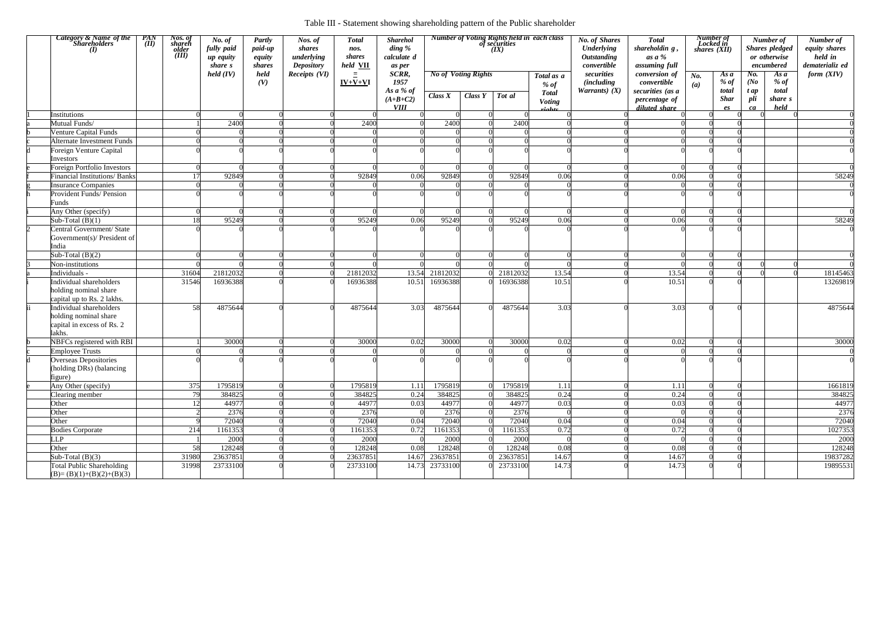|                         | <b>Category &amp; Name of the</b><br>Shareholders<br>$\bf{U}$                            | <i>PAN</i><br>(II) | Nos. of<br>shareh<br>older<br>(iii) | No. of<br>fully paid<br>up equity<br>share s<br>held (IV) | <b>Partly</b><br>paid-up<br>equity<br><i>shares</i><br>held<br>(V) | Nos. of<br>shares<br>underlying<br><b>Depository</b><br>Receipts (VI) | <b>Total</b><br>nos.<br>shares<br>held <b>VII</b><br>$\equiv$<br>$IV+V+VI$ | <b>Sharehol</b><br>ding %<br>calculate d<br>as per<br>SCRR,<br>1957<br>As a % of |          | <b>No of Voting Rights</b> | of securities<br>(IX) | <b>Number of Voting Rights held in each class</b><br>Total as a<br>$%$ of | <b>No. of Shares</b><br><b>Underlying</b><br><b>Outstanding</b><br>convertible<br>securities<br><i>(including)</i><br><i>Warrants</i> ) $(X)$ | <b>Total</b><br>shareholdin g,<br>as a %<br>assuming full<br>conversion of<br>convertible<br>securities (as a | $N_{0}$<br>(a) | Number of<br>Locked in<br>$\overline{\text{}s}$ <i>hares</i> ( <i>XII</i> )<br>As a<br>$%$ of<br>total | No.<br>(No)<br>t ap | Number of<br><b>Shares</b> pledged<br>or otherwise<br>encumbered<br>As a<br>% of<br>total | Number of<br>equity shares<br>held in<br>dematerializ ed<br>form $(XIV)$ |
|-------------------------|------------------------------------------------------------------------------------------|--------------------|-------------------------------------|-----------------------------------------------------------|--------------------------------------------------------------------|-----------------------------------------------------------------------|----------------------------------------------------------------------------|----------------------------------------------------------------------------------|----------|----------------------------|-----------------------|---------------------------------------------------------------------------|-----------------------------------------------------------------------------------------------------------------------------------------------|---------------------------------------------------------------------------------------------------------------|----------------|--------------------------------------------------------------------------------------------------------|---------------------|-------------------------------------------------------------------------------------------|--------------------------------------------------------------------------|
|                         |                                                                                          |                    |                                     |                                                           |                                                                    |                                                                       |                                                                            | $(A+B+C2)$<br><b>VIII</b>                                                        | Class X  | Class Y                    | Tot al                | <b>Total</b><br><b>Voting</b>                                             |                                                                                                                                               | percentage of<br>diluted share                                                                                |                | <b>Shar</b><br>$e_{S}$                                                                                 | pli<br>ca           | share s<br>held                                                                           |                                                                          |
|                         | Institutions                                                                             |                    |                                     |                                                           |                                                                    |                                                                       |                                                                            |                                                                                  |          |                            |                       |                                                                           |                                                                                                                                               |                                                                                                               |                |                                                                                                        |                     |                                                                                           |                                                                          |
|                         | Mutual Funds/                                                                            |                    |                                     | 2400                                                      |                                                                    |                                                                       | 2400                                                                       |                                                                                  | 2400     |                            | 2400                  |                                                                           |                                                                                                                                               |                                                                                                               |                |                                                                                                        |                     |                                                                                           |                                                                          |
|                         | Venture Capital Funds                                                                    |                    |                                     |                                                           |                                                                    |                                                                       |                                                                            |                                                                                  |          |                            |                       |                                                                           |                                                                                                                                               |                                                                                                               |                |                                                                                                        |                     |                                                                                           |                                                                          |
|                         | <b>Alternate Investment Funds</b>                                                        |                    |                                     |                                                           |                                                                    |                                                                       |                                                                            |                                                                                  |          |                            |                       |                                                                           |                                                                                                                                               |                                                                                                               |                |                                                                                                        |                     |                                                                                           |                                                                          |
|                         | Foreign Venture Capital<br>Investors                                                     |                    |                                     |                                                           |                                                                    |                                                                       |                                                                            |                                                                                  |          |                            |                       |                                                                           |                                                                                                                                               |                                                                                                               |                |                                                                                                        |                     |                                                                                           |                                                                          |
|                         | <b>Foreign Portfolio Investors</b>                                                       |                    |                                     |                                                           |                                                                    |                                                                       |                                                                            |                                                                                  |          |                            |                       |                                                                           |                                                                                                                                               |                                                                                                               |                |                                                                                                        |                     |                                                                                           |                                                                          |
|                         | <b>Financial Institutions/ Banks</b>                                                     |                    |                                     | 92849                                                     |                                                                    |                                                                       | 92849                                                                      | 0.06                                                                             | 92849    |                            | 92849                 | 0.06                                                                      |                                                                                                                                               | 0.06                                                                                                          |                |                                                                                                        |                     |                                                                                           | 58249                                                                    |
|                         | <b>Insurance Companies</b>                                                               |                    |                                     |                                                           |                                                                    |                                                                       |                                                                            |                                                                                  |          |                            |                       |                                                                           |                                                                                                                                               |                                                                                                               |                |                                                                                                        |                     |                                                                                           |                                                                          |
|                         | <b>Provident Funds/ Pension</b><br>Funds                                                 |                    |                                     |                                                           |                                                                    |                                                                       |                                                                            |                                                                                  |          |                            |                       |                                                                           |                                                                                                                                               |                                                                                                               |                |                                                                                                        |                     |                                                                                           |                                                                          |
|                         | Any Other (specify)                                                                      |                    |                                     |                                                           |                                                                    |                                                                       |                                                                            |                                                                                  |          |                            |                       |                                                                           |                                                                                                                                               |                                                                                                               |                |                                                                                                        |                     |                                                                                           |                                                                          |
|                         | Sub-Total $(B)(1)$                                                                       |                    | 18                                  | 95249                                                     |                                                                    |                                                                       | 95249                                                                      | 0.06                                                                             | 95249    |                            | 95249                 | 0.06                                                                      |                                                                                                                                               | 0.06                                                                                                          |                |                                                                                                        |                     |                                                                                           | 58249                                                                    |
| 2                       | Central Government/ State<br>Government(s)/ President of<br>India                        |                    |                                     |                                                           |                                                                    |                                                                       |                                                                            |                                                                                  |          |                            |                       |                                                                           |                                                                                                                                               |                                                                                                               |                |                                                                                                        |                     |                                                                                           |                                                                          |
|                         | Sub-Total $(B)(2)$                                                                       |                    |                                     |                                                           |                                                                    |                                                                       |                                                                            |                                                                                  |          |                            |                       |                                                                           |                                                                                                                                               |                                                                                                               |                |                                                                                                        |                     |                                                                                           |                                                                          |
|                         | Non-institutions                                                                         |                    |                                     |                                                           |                                                                    |                                                                       |                                                                            |                                                                                  |          |                            |                       |                                                                           |                                                                                                                                               |                                                                                                               |                |                                                                                                        |                     |                                                                                           |                                                                          |
|                         | Individuals -                                                                            |                    | 31604                               | 21812032                                                  |                                                                    |                                                                       | 21812032                                                                   | 13.54                                                                            | 21812032 |                            | 21812032              | 13.54                                                                     |                                                                                                                                               | 13.54                                                                                                         |                |                                                                                                        |                     |                                                                                           | 18145463                                                                 |
|                         | Individual shareholders<br>holding nominal share<br>capital up to Rs. 2 lakhs.           |                    | 31546                               | 16936388                                                  |                                                                    |                                                                       | 16936388                                                                   | 10.51                                                                            | 16936388 |                            | 16936388              | 10.51                                                                     |                                                                                                                                               | 10.51                                                                                                         |                |                                                                                                        |                     |                                                                                           | 13269819                                                                 |
|                         | Individual shareholders<br>holding nominal share<br>capital in excess of Rs. 2<br>lakhs. |                    | 58                                  | 4875644                                                   |                                                                    |                                                                       | 4875644                                                                    | 3.03                                                                             | 4875644  |                            | 4875644               | 3.03                                                                      |                                                                                                                                               | 3.03                                                                                                          |                |                                                                                                        |                     |                                                                                           | 4875644                                                                  |
|                         | NBFCs registered with RBI                                                                |                    |                                     | 30000                                                     |                                                                    |                                                                       | 30000                                                                      | 0.02                                                                             | 30000    |                            | 30000                 | 0.02                                                                      |                                                                                                                                               | 0.02                                                                                                          |                |                                                                                                        | $\Omega$            |                                                                                           | 30000                                                                    |
|                         | <b>Employee Trusts</b>                                                                   |                    |                                     |                                                           |                                                                    |                                                                       |                                                                            |                                                                                  |          |                            |                       |                                                                           |                                                                                                                                               |                                                                                                               |                |                                                                                                        |                     |                                                                                           |                                                                          |
| $\overline{\mathrm{d}}$ | <b>Overseas Depositories</b><br>(holding DRs) (balancing<br>figure)                      |                    |                                     |                                                           |                                                                    |                                                                       |                                                                            |                                                                                  |          |                            |                       |                                                                           |                                                                                                                                               |                                                                                                               |                |                                                                                                        |                     |                                                                                           |                                                                          |
|                         | Any Other (specify)                                                                      |                    | 375                                 | 1795819                                                   |                                                                    |                                                                       | 1795819                                                                    | 1.11                                                                             | 1795819  |                            | 1795819               | 1.11                                                                      |                                                                                                                                               | 1.11                                                                                                          |                |                                                                                                        | $\Omega$            |                                                                                           | 1661819                                                                  |
|                         | Clearing member                                                                          |                    | 79                                  | 384825                                                    |                                                                    |                                                                       | 384825                                                                     | 0.24                                                                             | 384825   |                            | 384825                | 0.24                                                                      |                                                                                                                                               | 0.24                                                                                                          |                |                                                                                                        |                     |                                                                                           | 384825                                                                   |
|                         | Other                                                                                    |                    | $\overline{2}$                      | 44977                                                     |                                                                    |                                                                       | 44977                                                                      | 0.03                                                                             | 44977    |                            | 44977                 | 0.03                                                                      |                                                                                                                                               | 0.03                                                                                                          |                |                                                                                                        |                     |                                                                                           | 44977                                                                    |
|                         | Other                                                                                    |                    |                                     | 2376                                                      |                                                                    |                                                                       | 2376                                                                       |                                                                                  | 2376     |                            | 2376                  |                                                                           |                                                                                                                                               |                                                                                                               |                |                                                                                                        |                     |                                                                                           | 2376                                                                     |
|                         | Other                                                                                    |                    |                                     | 72040                                                     |                                                                    |                                                                       | 72040                                                                      | 0.04                                                                             | 72040    |                            | 72040                 | 0.04                                                                      |                                                                                                                                               | 0.04                                                                                                          |                |                                                                                                        |                     |                                                                                           | 72040                                                                    |
|                         | <b>Bodies Corporate</b>                                                                  |                    | 214                                 | 1161353                                                   |                                                                    |                                                                       | 1161353                                                                    | 0.72                                                                             | 1161353  |                            | 1161353               | 0.72                                                                      |                                                                                                                                               | 0.72                                                                                                          |                |                                                                                                        |                     |                                                                                           | 1027353                                                                  |
|                         | <b>LLP</b>                                                                               |                    |                                     | 2000                                                      |                                                                    |                                                                       | 2000                                                                       |                                                                                  | 2000     |                            | 2000                  |                                                                           |                                                                                                                                               |                                                                                                               |                |                                                                                                        |                     |                                                                                           | 2000                                                                     |
|                         | Other                                                                                    |                    | 58                                  | 128248                                                    |                                                                    |                                                                       | 128248                                                                     | 0.08                                                                             | 128248   |                            | 128248                | 0.08                                                                      |                                                                                                                                               | 0.08                                                                                                          |                |                                                                                                        |                     |                                                                                           | 128248                                                                   |
|                         | Sub-Total $(B)(3)$                                                                       |                    | 31980                               | 23637851                                                  |                                                                    |                                                                       | 23637851                                                                   | 14.67                                                                            | 23637851 |                            | 23637851              | 14.67                                                                     |                                                                                                                                               | 14.67                                                                                                         |                |                                                                                                        |                     |                                                                                           | 19837282                                                                 |
|                         | Total Public Shareholding<br>$(B)=(B)(1)+(B)(2)+(B)(3)$                                  |                    | 31998                               | 23733100                                                  |                                                                    |                                                                       | 23733100                                                                   | 14.73                                                                            | 23733100 |                            | 23733100              | 14.73                                                                     |                                                                                                                                               | 14.73                                                                                                         |                |                                                                                                        |                     |                                                                                           | 19895531                                                                 |